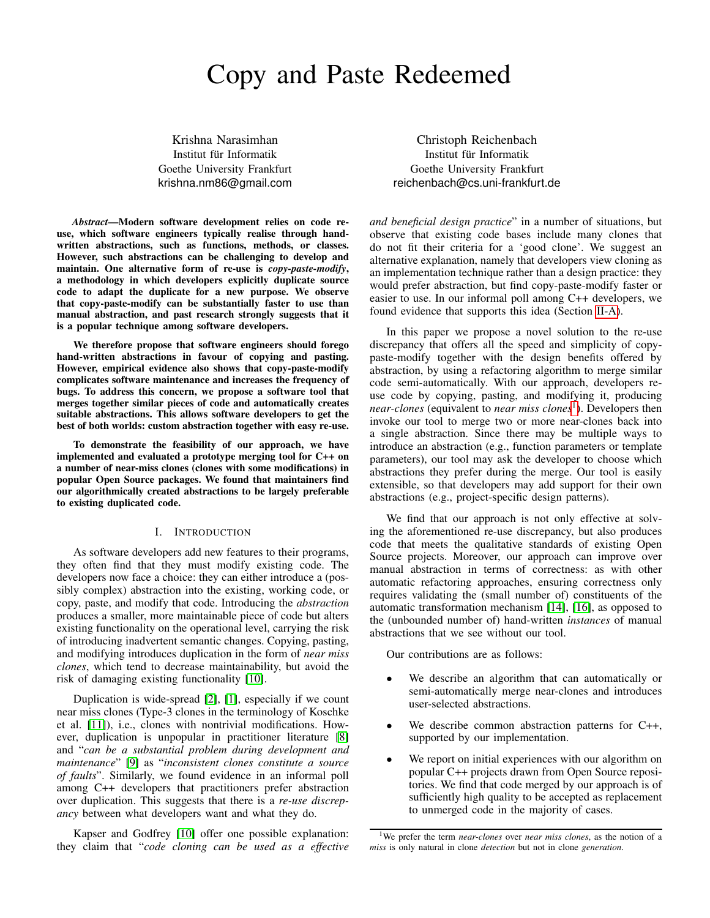# Copy and Paste Redeemed

Krishna Narasimhan Institut für Informatik Goethe University Frankfurt krishna.nm86@gmail.com

*Abstract*—Modern software development relies on code reuse, which software engineers typically realise through handwritten abstractions, such as functions, methods, or classes. However, such abstractions can be challenging to develop and maintain. One alternative form of re-use is *copy-paste-modify*, a methodology in which developers explicitly duplicate source code to adapt the duplicate for a new purpose. We observe that copy-paste-modify can be substantially faster to use than manual abstraction, and past research strongly suggests that it is a popular technique among software developers.

We therefore propose that software engineers should forego hand-written abstractions in favour of copying and pasting. However, empirical evidence also shows that copy-paste-modify complicates software maintenance and increases the frequency of bugs. To address this concern, we propose a software tool that merges together similar pieces of code and automatically creates suitable abstractions. This allows software developers to get the best of both worlds: custom abstraction together with easy re-use.

To demonstrate the feasibility of our approach, we have implemented and evaluated a prototype merging tool for C++ on a number of near-miss clones (clones with some modifications) in popular Open Source packages. We found that maintainers find our algorithmically created abstractions to be largely preferable to existing duplicated code.

#### I. INTRODUCTION

As software developers add new features to their programs, they often find that they must modify existing code. The developers now face a choice: they can either introduce a (possibly complex) abstraction into the existing, working code, or copy, paste, and modify that code. Introducing the *abstraction* produces a smaller, more maintainable piece of code but alters existing functionality on the operational level, carrying the risk of introducing inadvertent semantic changes. Copying, pasting, and modifying introduces duplication in the form of *near miss clones*, which tend to decrease maintainability, but avoid the risk of damaging existing functionality [\[10\]](#page-10-0).

Duplication is wide-spread [\[2\]](#page-9-0), [\[1\]](#page-9-1), especially if we count near miss clones (Type-3 clones in the terminology of Koschke et al. [\[11\]](#page-10-1)), i.e., clones with nontrivial modifications. However, duplication is unpopular in practitioner literature [\[8\]](#page-10-2) and "*can be a substantial problem during development and maintenance*" [\[9\]](#page-10-3) as "*inconsistent clones constitute a source of faults*". Similarly, we found evidence in an informal poll among C++ developers that practitioners prefer abstraction over duplication. This suggests that there is a *re-use discrepancy* between what developers want and what they do.

Kapser and Godfrey [\[10\]](#page-10-0) offer one possible explanation: they claim that "*code cloning can be used as a effective*

Christoph Reichenbach Institut für Informatik Goethe University Frankfurt reichenbach@cs.uni-frankfurt.de

*and beneficial design practice*" in a number of situations, but observe that existing code bases include many clones that do not fit their criteria for a 'good clone'. We suggest an alternative explanation, namely that developers view cloning as an implementation technique rather than a design practice: they would prefer abstraction, but find copy-paste-modify faster or easier to use. In our informal poll among C++ developers, we found evidence that supports this idea (Section [II-A\)](#page-1-0).

In this paper we propose a novel solution to the re-use discrepancy that offers all the speed and simplicity of copypaste-modify together with the design benefits offered by abstraction, by using a refactoring algorithm to merge similar code semi-automatically. With our approach, developers reuse code by copying, pasting, and modifying it, producing *near-clones* (equivalent to *near miss clones*<sup>[1](#page-0-0)</sup>). Developers then invoke our tool to merge two or more near-clones back into a single abstraction. Since there may be multiple ways to introduce an abstraction (e.g., function parameters or template parameters), our tool may ask the developer to choose which abstractions they prefer during the merge. Our tool is easily extensible, so that developers may add support for their own abstractions (e.g., project-specific design patterns).

We find that our approach is not only effective at solving the aforementioned re-use discrepancy, but also produces code that meets the qualitative standards of existing Open Source projects. Moreover, our approach can improve over manual abstraction in terms of correctness: as with other automatic refactoring approaches, ensuring correctness only requires validating the (small number of) constituents of the automatic transformation mechanism [\[14\]](#page-10-4), [\[16\]](#page-10-5), as opposed to the (unbounded number of) hand-written *instances* of manual abstractions that we see without our tool.

Our contributions are as follows:

- We describe an algorithm that can automatically or semi-automatically merge near-clones and introduces user-selected abstractions.
- We describe common abstraction patterns for  $C_{++}$ , supported by our implementation.
- We report on initial experiences with our algorithm on popular C++ projects drawn from Open Source repositories. We find that code merged by our approach is of sufficiently high quality to be accepted as replacement to unmerged code in the majority of cases.

<span id="page-0-0"></span><sup>1</sup>We prefer the term *near-clones* over *near miss clones*, as the notion of a *miss* is only natural in clone *detection* but not in clone *generation*.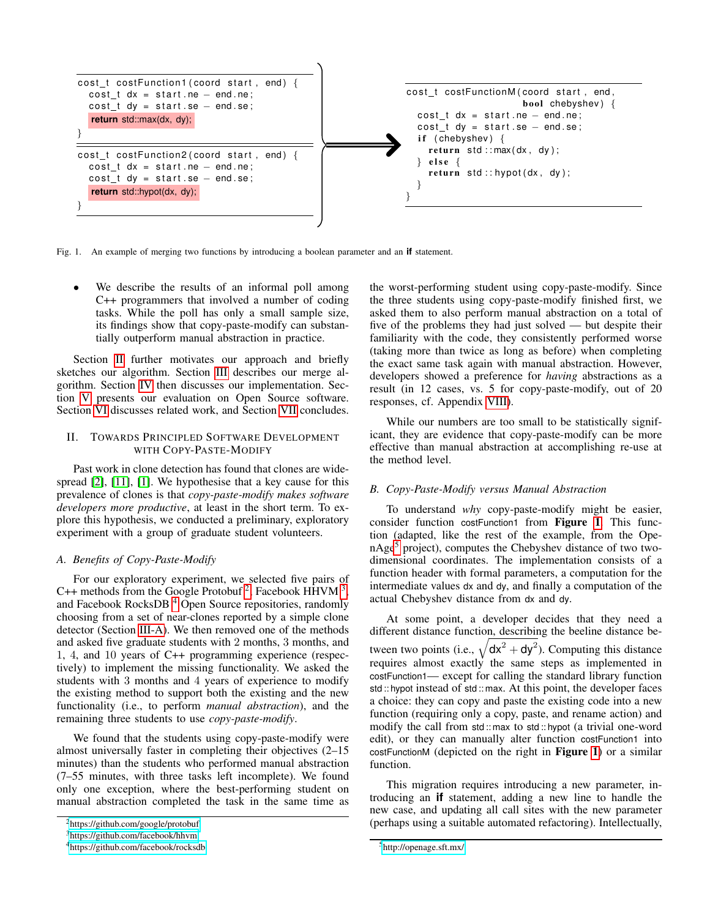

<span id="page-1-5"></span>Fig. 1. An example of merging two functions by introducing a boolean parameter and an **if** statement.

We describe the results of an informal poll among C++ programmers that involved a number of coding tasks. While the poll has only a small sample size, its findings show that copy-paste-modify can substantially outperform manual abstraction in practice.

Section [II](#page-1-1) further motivates our approach and briefly sketches our algorithm. Section [III](#page-2-0) describes our merge algorithm. Section [IV](#page-6-0) then discusses our implementation. Section [V](#page-7-0) presents our evaluation on Open Source software. Section [VI](#page-8-0) discusses related work, and Section [VII](#page-9-2) concludes.

#### <span id="page-1-1"></span>II. TOWARDS PRINCIPLED SOFTWARE DEVELOPMENT WITH COPY-PASTE-MODIFY

Past work in clone detection has found that clones are widespread [\[2\]](#page-9-0), [\[11\]](#page-10-1), [\[1\]](#page-9-1). We hypothesise that a key cause for this prevalence of clones is that *copy-paste-modify makes software developers more productive*, at least in the short term. To explore this hypothesis, we conducted a preliminary, exploratory experiment with a group of graduate student volunteers.

#### <span id="page-1-0"></span>*A. Benefits of Copy-Paste-Modify*

For our exploratory experiment, we selected five pairs of C++ methods from the Google Protobuf<sup>[2](#page-1-2)</sup>, Facebook HHVM<sup>[3](#page-1-3)</sup>, and Facebook RocksDB<sup>[4](#page-1-4)</sup> Open Source repositories, randomly choosing from a set of near-clones reported by a simple clone detector (Section [III-A\)](#page-2-1). We then removed one of the methods and asked five graduate students with 2 months, 3 months, and 1, 4, and 10 years of C++ programming experience (respectively) to implement the missing functionality. We asked the students with 3 months and 4 years of experience to modify the existing method to support both the existing and the new functionality (i.e., to perform *manual abstraction*), and the remaining three students to use *copy-paste-modify*.

We found that the students using copy-paste-modify were almost universally faster in completing their objectives (2–15 minutes) than the students who performed manual abstraction (7–55 minutes, with three tasks left incomplete). We found only one exception, where the best-performing student on manual abstraction completed the task in the same time as

the worst-performing student using copy-paste-modify. Since the three students using copy-paste-modify finished first, we asked them to also perform manual abstraction on a total of five of the problems they had just solved — but despite their familiarity with the code, they consistently performed worse (taking more than twice as long as before) when completing the exact same task again with manual abstraction. However, developers showed a preference for *having* abstractions as a result (in 12 cases, vs. 5 for copy-paste-modify, out of 20 responses, cf. Appendix [VIII\)](#page-9-3).

While our numbers are too small to be statistically significant, they are evidence that copy-paste-modify can be more effective than manual abstraction at accomplishing re-use at the method level.

#### *B. Copy-Paste-Modify versus Manual Abstraction*

To understand *why* copy-paste-modify might be easier, consider function costFunction1 from Figure [1](#page-1-5). This function (adapted, like the rest of the example, from the Ope- $nAge<sup>5</sup>$  $nAge<sup>5</sup>$  $nAge<sup>5</sup>$  project), computes the Chebyshev distance of two twodimensional coordinates. The implementation consists of a function header with formal parameters, a computation for the intermediate values dx and dy, and finally a computation of the actual Chebyshev distance from dx and dy.

At some point, a developer decides that they need a different distance function, describing the beeline distance between two points (i.e.,  $\sqrt{dx^2 + dy^2}$ ). Computing this distance requires almost exactly the same steps as implemented in costFunction1— except for calling the standard library function std :: hypot instead of std :: max. At this point, the developer faces a choice: they can copy and paste the existing code into a new function (requiring only a copy, paste, and rename action) and modify the call from std: max to std: hypot (a trivial one-word edit), or they can manually alter function costFunction1 into costFunctionM (depicted on the right in Figure [1](#page-1-5)) or a similar function.

This migration requires introducing a new parameter, introducing an **if** statement, adding a new line to handle the new case, and updating all call sites with the new parameter (perhaps using a suitable automated refactoring). Intellectually,

<span id="page-1-2"></span><sup>&</sup>lt;sup>2</sup><https://github.com/google/protobuf>

<span id="page-1-3"></span><sup>3</sup><https://github.com/facebook/hhvm>

<span id="page-1-4"></span><sup>4</sup><https://github.com/facebook/rocksdb>

<span id="page-1-6"></span><sup>5</sup><http://openage.sft.mx/>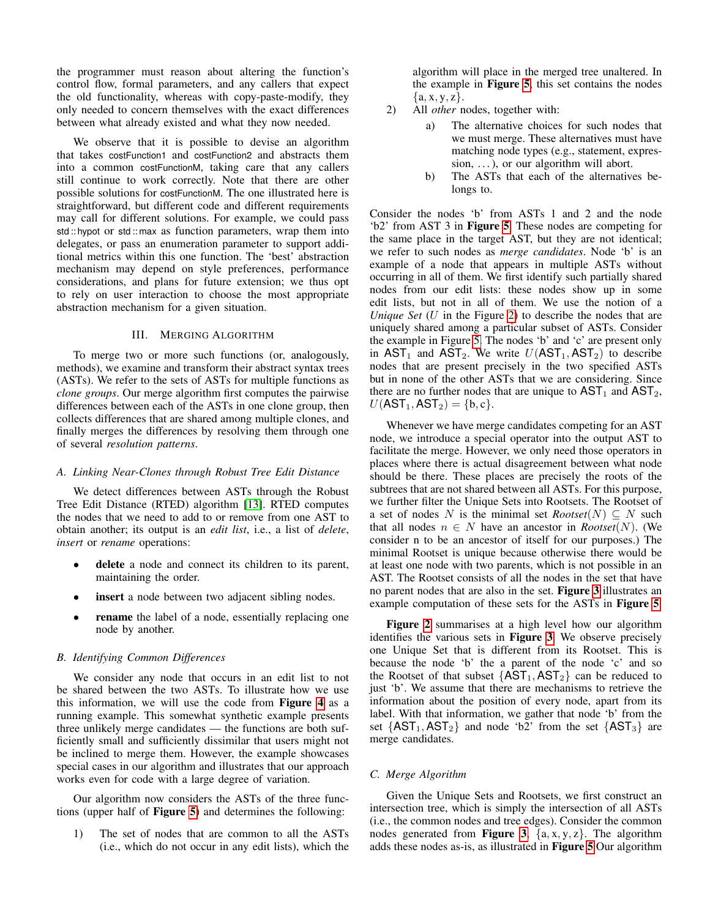the programmer must reason about altering the function's control flow, formal parameters, and any callers that expect the old functionality, whereas with copy-paste-modify, they only needed to concern themselves with the exact differences between what already existed and what they now needed.

We observe that it is possible to devise an algorithm that takes costFunction1 and costFunction2 and abstracts them into a common costFunctionM, taking care that any callers still continue to work correctly. Note that there are other possible solutions for costFunctionM. The one illustrated here is straightforward, but different code and different requirements may call for different solutions. For example, we could pass std :: hypot or std :: max as function parameters, wrap them into delegates, or pass an enumeration parameter to support additional metrics within this one function. The 'best' abstraction mechanism may depend on style preferences, performance considerations, and plans for future extension; we thus opt to rely on user interaction to choose the most appropriate abstraction mechanism for a given situation.

#### III. MERGING ALGORITHM

<span id="page-2-0"></span>To merge two or more such functions (or, analogously, methods), we examine and transform their abstract syntax trees (ASTs). We refer to the sets of ASTs for multiple functions as *clone groups*. Our merge algorithm first computes the pairwise differences between each of the ASTs in one clone group, then collects differences that are shared among multiple clones, and finally merges the differences by resolving them through one of several *resolution patterns*.

# <span id="page-2-1"></span>*A. Linking Near-Clones through Robust Tree Edit Distance*

We detect differences between ASTs through the Robust Tree Edit Distance (RTED) algorithm [\[13\]](#page-10-6). RTED computes the nodes that we need to add to or remove from one AST to obtain another; its output is an *edit list*, i.e., a list of *delete*, *insert* or *rename* operations:

- delete a node and connect its children to its parent, maintaining the order.
- insert a node between two adjacent sibling nodes.
- rename the label of a node, essentially replacing one node by another.

#### *B. Identifying Common Differences*

We consider any node that occurs in an edit list to not be shared between the two ASTs. To illustrate how we use this information, we will use the code from Figure [4](#page-3-0) as a running example. This somewhat synthetic example presents three unlikely merge candidates — the functions are both sufficiently small and sufficiently dissimilar that users might not be inclined to merge them. However, the example showcases special cases in our algorithm and illustrates that our approach works even for code with a large degree of variation.

Our algorithm now considers the ASTs of the three functions (upper half of Figure [5](#page-3-1)) and determines the following:

1) The set of nodes that are common to all the ASTs (i.e., which do not occur in any edit lists), which the algorithm will place in the merged tree unaltered. In the example in Figure [5](#page-3-1), this set contains the nodes  $\{a, x, y, z\}.$ 

- 2) All *other* nodes, together with:
	- a) The alternative choices for such nodes that we must merge. These alternatives must have matching node types (e.g., statement, expression,  $\dots$ ), or our algorithm will abort.
	- b) The ASTs that each of the alternatives belongs to.

Consider the nodes 'b' from ASTs 1 and 2 and the node 'b2' from AST 3 in Figure [5](#page-3-1). These nodes are competing for the same place in the target AST, but they are not identical; we refer to such nodes as *merge candidates*. Node 'b' is an example of a node that appears in multiple ASTs without occurring in all of them. We first identify such partially shared nodes from our edit lists: these nodes show up in some edit lists, but not in all of them. We use the notion of a *Unique Set* (*U* in the Figure [2\)](#page-3-2) to describe the nodes that are uniquely shared among a particular subset of ASTs. Consider the example in Figure [5.](#page-3-1) The nodes 'b' and 'c' are present only in  $AST_1$  and  $AST_2$ . We write  $U(AST_1, AST_2)$  to describe nodes that are present precisely in the two specified ASTs but in none of the other ASTs that we are considering. Since there are no further nodes that are unique to  $AST_1$  and  $AST_2$ ,  $U(AST_1, AST_2) = \{b, c\}.$ 

Whenever we have merge candidates competing for an AST node, we introduce a special operator into the output AST to facilitate the merge. However, we only need those operators in places where there is actual disagreement between what node should be there. These places are precisely the roots of the subtrees that are not shared between all ASTs. For this purpose, we further filter the Unique Sets into Rootsets. The Rootset of a set of nodes N is the minimal set  $Rootset(N) \subseteq N$  such that all nodes  $n \in N$  have an ancestor in *Rootset*(N). (We consider n to be an ancestor of itself for our purposes.) The minimal Rootset is unique because otherwise there would be at least one node with two parents, which is not possible in an AST. The Rootset consists of all the nodes in the set that have no parent nodes that are also in the set. Figure [3](#page-3-3) illustrates an example computation of these sets for the ASTs in Figure [5](#page-3-1).

Figure [2](#page-3-2) summarises at a high level how our algorithm identifies the various sets in Figure [3](#page-3-3). We observe precisely one Unique Set that is different from its Rootset. This is because the node 'b' the a parent of the node 'c' and so the Rootset of that subset  $\{AST_1, AST_2\}$  can be reduced to just 'b'. We assume that there are mechanisms to retrieve the information about the position of every node, apart from its label. With that information, we gather that node 'b' from the set  $\{AST_1, AST_2\}$  and node 'b2' from the set  $\{AST_3\}$  are merge candidates.

#### *C. Merge Algorithm*

Given the Unique Sets and Rootsets, we first construct an intersection tree, which is simply the intersection of all ASTs (i.e., the common nodes and tree edges). Consider the common nodes generated from **Figure [3](#page-3-3)**,  $\{a, x, y, z\}$ . The algorithm adds these nodes as-is, as illustrated in Figure [5](#page-3-1).Our algorithm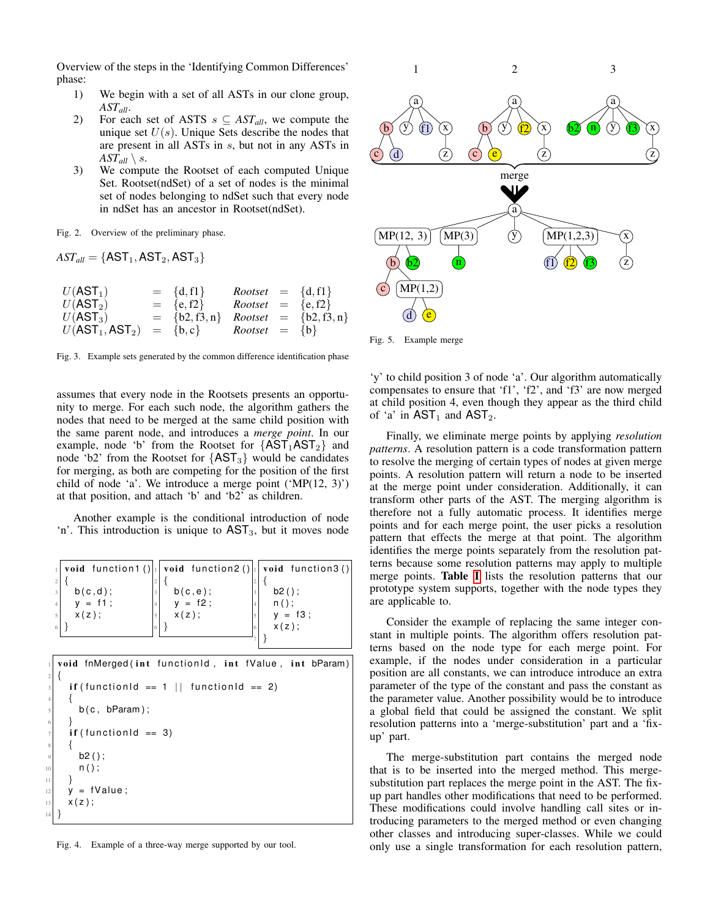Overview of the steps in the 'Identifying Common Differences' phase:

- 1) We begin with a set of all ASTs in our clone group, *ASTall*.
- 2) For each set of ASTS  $s \subseteq AST_{all}$ , we compute the unique set  $U(s)$ . Unique Sets describe the nodes that are present in all ASTs in s, but not in any ASTs in  $AST_{all} \setminus s$ .
- 3) We compute the Rootset of each computed Unique Set. Rootset(ndSet) of a set of nodes is the minimal set of nodes belonging to ndSet such that every node in ndSet has an ancestor in Rootset(ndSet).

<span id="page-3-2"></span>Fig. 2. Overview of the preliminary phase.

 $AST_{all}$  = { $AST_1$ ,  $AST_2$ ,  $AST_3$ }

| $U(AST_1)$                                 | $= \{d, f1\}$                       | $Rootset = \{d, f1\}$ |                           |
|--------------------------------------------|-------------------------------------|-----------------------|---------------------------|
| $U($ AST <sub>2</sub> $)$                  | $= \{e, f2\}$ Rootset $= \{e, f2\}$ |                       |                           |
| $U(\mathsf{AST}_3)$                        | $= \{b2, f3, n\}$                   |                       | $Rootset = \{b2, f3, n\}$ |
| $U(\text{AST}_1, \text{AST}_2) = \{b, c\}$ |                                     | $Rootset = \{b\}$     |                           |

<span id="page-3-3"></span>Fig. 3. Example sets generated by the common difference identification phase

assumes that every node in the Rootsets presents an opportunity to merge. For each such node, the algorithm gathers the nodes that need to be merged at the same child position with the same parent node, and introduces a *merge point*. In our example, node 'b' from the Rootset for  ${AST_1AST_2}$  and node 'b2' from the Rootset for  ${AST_3}$  would be candidates for merging, as both are competing for the position of the first child of node 'a'. We introduce a merge point ('MP(12, 3)') at that position, and attach 'b' and 'b2' as children.

Another example is the conditional introduction of node 'n'. This introduction is unique to  $\text{AST}_3$ , but it moves node

|           |             | void function1()    void function2()   void function3() |
|-----------|-------------|---------------------------------------------------------|
|           |             |                                                         |
| b(c,d);   | $b(c, e)$ ; | $b2()$ ;                                                |
| $y = f1;$ | $y = f2$ ;  | $n()$ ;                                                 |
| $x(z)$ ;  | $x(z)$ :    | $y = f3;$                                               |
|           |             | x(z);                                                   |
|           |             |                                                         |

```
void fnMerged (int functionId, int fValue, int bParam)
2 \vert {
     if (functional = 1 || functionId == 2)4 {
      b ( c, bParam );
6 }
     if (functionId == 3)8 {
      b2();
      n();
11 }
|12| y = fValue;
|3| x ( z ) :
14 }
```
<span id="page-3-0"></span>



<span id="page-3-1"></span>Fig. 5. Example merge

'y' to child position 3 of node 'a'. Our algorithm automatically compensates to ensure that 'f1', 'f2', and 'f3' are now merged at child position 4, even though they appear as the third child of 'a' in  $AST_1$  and  $AST_2$ .

Finally, we eliminate merge points by applying *resolution patterns*. A resolution pattern is a code transformation pattern to resolve the merging of certain types of nodes at given merge points. A resolution pattern will return a node to be inserted at the merge point under consideration. Additionally, it can transform other parts of the AST. The merging algorithm is therefore not a fully automatic process. It identifies merge points and for each merge point, the user picks a resolution pattern that effects the merge at that point. The algorithm identifies the merge points separately from the resolution patterns because some resolution patterns may apply to multiple merge points. Table [I](#page-4-0) lists the resolution patterns that our prototype system supports, together with the node types they are applicable to.

Consider the example of replacing the same integer constant in multiple points. The algorithm offers resolution patterns based on the node type for each merge point. For example, if the nodes under consideration in a particular position are all constants, we can introduce introduce an extra parameter of the type of the constant and pass the constant as the parameter value. Another possibility would be to introduce a global field that could be assigned the constant. We split resolution patterns into a 'merge-substitution' part and a 'fixup' part.

The merge-substitution part contains the merged node that is to be inserted into the merged method. This mergesubstitution part replaces the merge point in the AST. The fixup part handles other modifications that need to be performed. These modifications could involve handling call sites or introducing parameters to the merged method or even changing other classes and introducing super-classes. While we could only use a single transformation for each resolution pattern,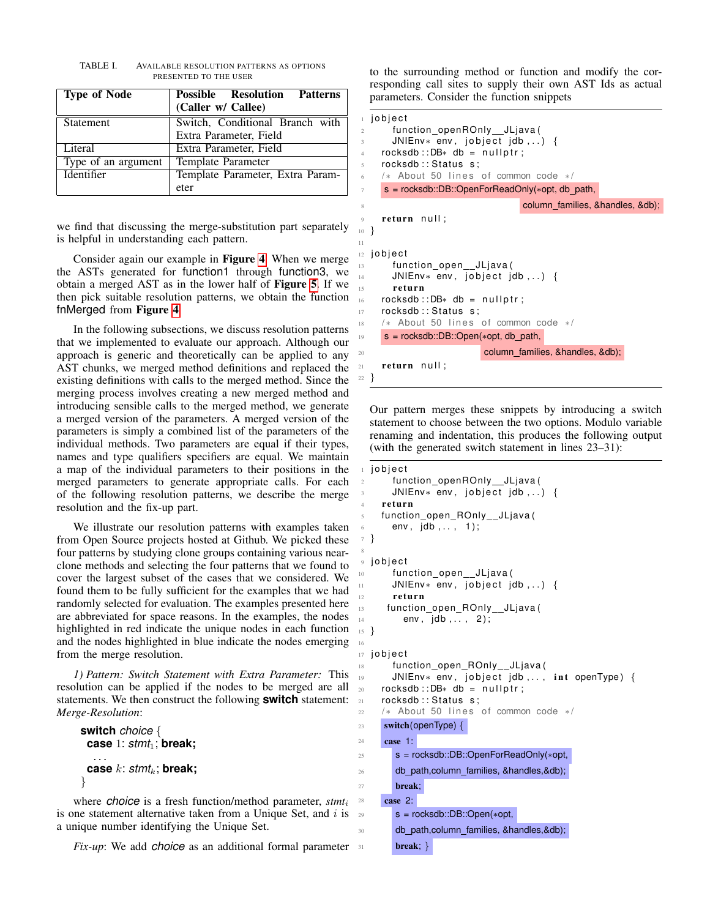| <b>Type of Node</b> | <b>Possible Resolution Patterns</b><br>(Caller w/ Callee) |  |  |  |  |  |
|---------------------|-----------------------------------------------------------|--|--|--|--|--|
| <b>Statement</b>    | Switch, Conditional Branch with                           |  |  |  |  |  |
|                     | Extra Parameter, Field                                    |  |  |  |  |  |
| Literal             | Extra Parameter, Field                                    |  |  |  |  |  |
| Type of an argument | Template Parameter                                        |  |  |  |  |  |
| Identifier          | Template Parameter, Extra Param-                          |  |  |  |  |  |
|                     | eter                                                      |  |  |  |  |  |

<span id="page-4-0"></span>TABLE I. AVAILABLE RESOLUTION PATTERNS AS OPTIONS PRESENTED TO THE USER

we find that discussing the merge-substitution part separately is helpful in understanding each pattern.

Consider again our example in Figure [4](#page-3-0). When we merge the ASTs generated for function1 through function3, we obtain a merged AST as in the lower half of Figure [5](#page-3-1). If we then pick suitable resolution patterns, we obtain the function fnMerged from Figure [4](#page-3-0).

In the following subsections, we discuss resolution patterns that we implemented to evaluate our approach. Although our approach is generic and theoretically can be applied to any AST chunks, we merged method definitions and replaced the existing definitions with calls to the merged method. Since the merging process involves creating a new merged method and introducing sensible calls to the merged method, we generate a merged version of the parameters. A merged version of the parameters is simply a combined list of the parameters of the individual methods. Two parameters are equal if their types, names and type qualifiers specifiers are equal. We maintain a map of the individual parameters to their positions in the merged parameters to generate appropriate calls. For each of the following resolution patterns, we describe the merge resolution and the fix-up part.

We illustrate our resolution patterns with examples taken from Open Source projects hosted at Github. We picked these four patterns by studying clone groups containing various nearclone methods and selecting the four patterns that we found to cover the largest subset of the cases that we considered. We found them to be fully sufficient for the examples that we had randomly selected for evaluation. The examples presented here are abbreviated for space reasons. In the examples, the nodes highlighted in red indicate the unique nodes in each function and the nodes highlighted in blue indicate the nodes emerging from the merge resolution.

*1) Pattern: Switch Statement with Extra Parameter:* This resolution can be applied if the nodes to be merged are all statements. We then construct the following **switch** statement: *Merge-Resolution*:

```
switch choice {
 case 1: stmt<sub>1</sub>; break;
   . . .
 case k: stmtk; break;
}
```
where *choice* is a fresh function/method parameter, *stmt<sub>i</sub>* is one statement alternative taken from a Unique Set, and  $i$  is a unique number identifying the Unique Set.

*Fix-up*: We add *choice* as an additional formal parameter <sup>31</sup>

to the surrounding method or function and modify the corresponding call sites to supply their own AST Ids as actual parameters. Consider the function snippets

```
1 j o b j e c t
2 function_openROnly__JLjava(
      JNIEnv* env, jobject jdb,..) {
    rocksdb::DB* db = nullptr;rocksdb:: Status s;
    /∗ About 50 lines of common code */
    7 s = rocksdb::DB::OpenForReadOnly(∗opt, db path,
                              column_families, &handles, &db);
    return null;
10 }
12 jobject
13 function_open__JLjava(
14 JNIEnv* env, jobject jdb,..) {
15 return
16 rocksdb::DB* db = nullptr;
17 rocksdb:: Status s;
18 /* About 50 lines of common code */
19 s = rocksdb::DB::Open(∗opt, db path,
20 column families, &handles, &db);
21 return null;
22 }
```
11

Our pattern merges these snippets by introducing a switch statement to choose between the two options. Modulo variable renaming and indentation, this produces the following output (with the generated switch statement in lines 23–31):

```
1 j o b j e c t
      function_openROnly__JLjava (
      JNIEnv* env, jobject jdb,..) {
    r e turn
    function_open_ROnly__JLjava(
      env, jdb, . . , 1);
7 }
 8
9 j o b j e c t
10 function_open__JLjava(
11 JNIEnv* env, jobject jdb,..) {
12 return
13 function_open_ROnly__JLjava(
14 env, jdb,.., 2);
15 }
16
17 jobject
18 function_open_ROnly__JLjava(
19 JNIEnv<sup>*</sup> env, jobject jdb,.., int openType) {
20 rocksdb::DB* db = nullptr;
21 rocksdb:: Status s;
22 /* About 50 lines of common code */
23 switch(openType) {
24 case 1:
25 s = rocksdb::DB::OpenForReadOnly(∗opt,
26 db path,column families, &handles,&db);
27 break;
28 case 2:
29 s = rocksdb::DB::Open(∗opt,
30 db path,column families, &handles,&db);
       break;}
```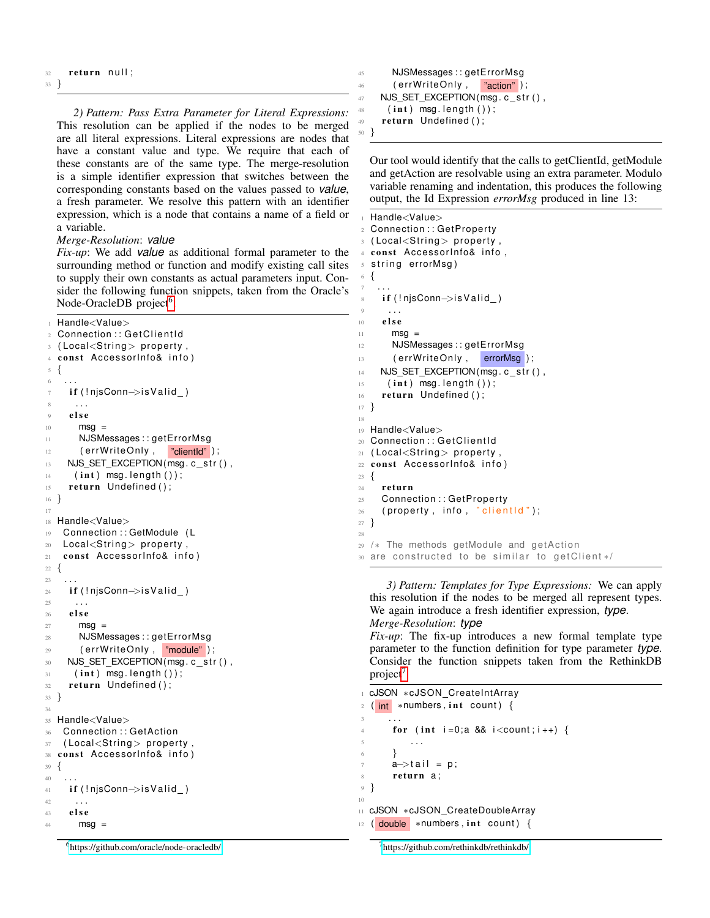```
32 return null;
```

```
33 }
```
*2) Pattern: Pass Extra Parameter for Literal Expressions:* This resolution can be applied if the nodes to be merged are all literal expressions. Literal expressions are nodes that have a constant value and type. We require that each of these constants are of the same type. The merge-resolution is a simple identifier expression that switches between the corresponding constants based on the values passed to *value*, a fresh parameter. We resolve this pattern with an identifier expression, which is a node that contains a name of a field or a variable.

#### *Merge-Resolution*: *value*

*Fix-up*: We add *value* as additional formal parameter to the surrounding method or function and modify existing call sites to supply their own constants as actual parameters input. Consider the following function snippets, taken from the Oracle's Node-OracleDB project<sup>[6](#page-5-0)</sup>:

```
1 Handle<Value>
```

```
2 Connection :: GetClientId
  (Local<String> property,
4 const AccessorInfo& info)
5 {
 6 \cdot \cdot \cdot7 if (!njsConn–>is Valid_)
8 . . .
9 else
10 msg =
11 NJSMessages :: getErrorMsg
12 (errWriteOnly, "clientId");
13 NJS_SET_EXCEPTION (msg. c_str(),
14 (int) msg. length ());
15 return Undefined ();
16 }
17
18 Handle<Value>
19 Connection :: GetModule (L
_{20} Local<String> property
21 const AccessorInfo& info)
22 {
23 . . .
24 if (!njsConn->is Valid)
25 \cdots26 e l s e
27 msg =
28 NJSMessages : : getErrorMsg
29 (errWriteOnly, "module");
30 NJS_SET_EXCEPTION(msg.c_str(),
31 (int) msg. length ());
32 return Undefined ();
33 }
34
35 Handle<Value>
36 Connection :: GetAction
37 (Local<String> property
38 const AccessorInfo& info)
39 {
4041 if (!njsConn–>is Valid_)
42 . .
43 else
44 msg =
```

```
45 NJSMessages :: getErrorMsg
46 (errWriteOnly, "action");
47 NJS SET EXCEPTION (msg. c str (),
48 (int) msg. length ());
49 return Undefined ();
```
<sup>50</sup> }

Our tool would identify that the calls to getClientId, getModule and getAction are resolvable using an extra parameter. Modulo variable renaming and indentation, this produces the following output, the Id Expression *errorMsg* produced in line 13:

```
Handle<Value>
2 Connection :: GetProperty
3 (Local<String> property,
4 const AccessorInfo& info,
5 string errorMsg)
6 {
7 . . .
    if (!njsConn->is Valid_)
9 \qquad \qquad \ldots10 else
11 msg =
12 NJSMessages : : getErrorMsg
13 (err WriteOnly, error Msg);
14 NJS_SET_EXCEPTION (msg. c_str(),
15 (int) msg. length());
16 return Undefined ();
17 }
18
19 Handle<Value>
20 Connection :: GetClientId
21 (Local<String> property,
22 const AccessorInfo& info)
23 {
24 return
25 Connection :: GetProperty
26 (property, info, "clientld");
27 }
2829 /* The methods getModule and getAction
30 are constructed to be similar to get Client */
```
*3) Pattern: Templates for Type Expressions:* We can apply this resolution if the nodes to be merged all represent types. We again introduce a fresh identifier expression, *type*. *Merge-Resolution*: *type*

*Fix-up*: The fix-up introduces a new formal template type parameter to the function definition for type parameter *type*. Consider the function snippets taken from the RethinkDB  $project<sup>7</sup>$  $project<sup>7</sup>$  $project<sup>7</sup>$ 

```
cJSON ∗cJSON_CreateIntArray
2 (int *numbers, int count) {
 3 \cdot \cdot \cdot4 for (int i=0;a && i<count; i++) {
 \overline{\phantom{a}} \overline{\phantom{a}} ...
        \}a \rightarrow \text{tail} = p;
8 return a;
9 }
10
11 cJSON ∗cJSON CreateDoubleArray
12 ( double ∗numbers, int count) {
```
<span id="page-5-0"></span><sup>6</sup><https://github.com/oracle/node-oracledb/>

<span id="page-5-1"></span><sup>7</sup><https://github.com/rethinkdb/rethinkdb/>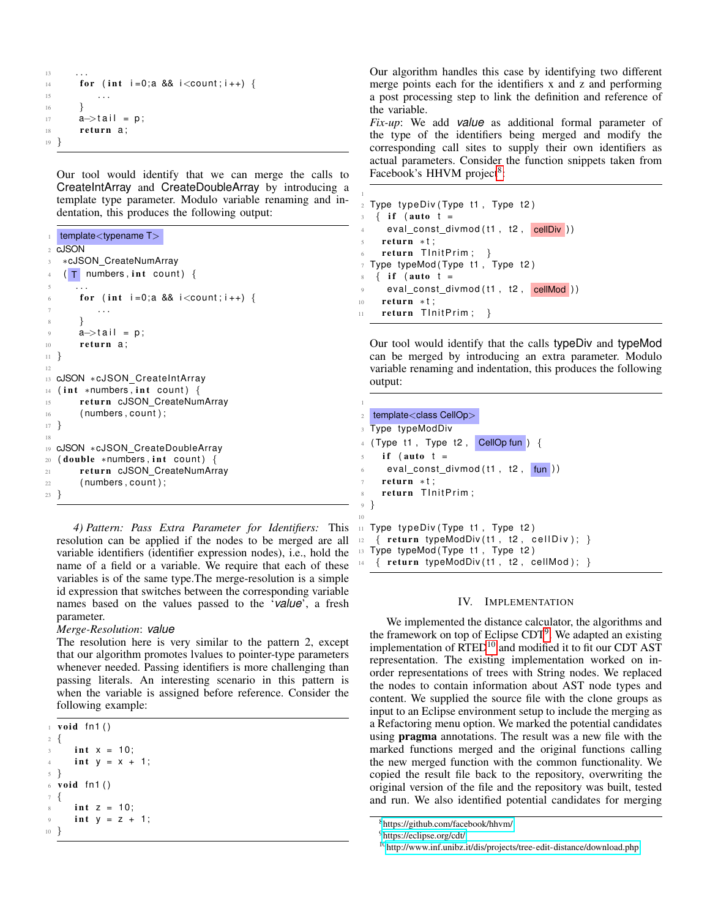```
13
14 for (int i=0;a && i<count; i++) {
15 \quad . \quad . \quad .16 }
17 a ->tail = p;
18 return a;
19 }
```
Our tool would identify that we can merge the calls to CreateIntArray and CreateDoubleArray by introducing a template type parameter. Modulo variable renaming and indentation, this produces the following output:

```
template<typename T>
2 cJSON
   3 ∗cJSON CreateNumArray
   (T numbers, int count) {
5 \qquad . . .for (int i = 0; a && i <count; i +) {
7 \quad . . .\mathcal{E}9 \qquad a \rightarrow \text{tail} = p;
10 return a:
11 }
12
13 cJSON ∗cJSON_CreateIntArray
14 (int *numbers, int count) {
15 return cJSON_CreateNumArray
16 (numbers, count);
17 }
18
19 cJSON ∗cJSON CreateDoubleArray
20 (double *numbers, int count) {
21 return cJSON_CreateNumArray
22 ( numbers , count ) ;
23 }
```
*4) Pattern: Pass Extra Parameter for Identifiers:* This resolution can be applied if the nodes to be merged are all variable identifiers (identifier expression nodes), i.e., hold the name of a field or a variable. We require that each of these variables is of the same type.The merge-resolution is a simple id expression that switches between the corresponding variable names based on the values passed to the '*value*', a fresh parameter.

# *Merge-Resolution*: *value*

The resolution here is very similar to the pattern 2, except that our algorithm promotes lvalues to pointer-type parameters whenever needed. Passing identifiers is more challenging than passing literals. An interesting scenario in this pattern is when the variable is assigned before reference. Consider the following example:

 $1$  void fn1() <sup>2</sup> {  $3$  int  $x = 10$ ; int  $y = x + 1$ ; <sup>5</sup> }  $6$  void fn1 $()$ <sup>7</sup> {  $8$  int  $z = 10$ ; 9 int  $y = z + 1$ ; <sup>10</sup> }

Our algorithm handles this case by identifying two different merge points each for the identifiers x and z and performing a post processing step to link the definition and reference of the variable.

*Fix-up*: We add *value* as additional formal parameter of the type of the identifiers being merged and modify the corresponding call sites to supply their own identifiers as actual parameters. Consider the function snippets taken from Facebook's HHVM project<sup>[8](#page-6-1)</sup>:

```
Type typeDiv (Type t1, Type t2)
   \{ if (auto t =eval\_const\_divmod(t1, t2, \text{cellDiv})
    return *t;
    return TlnitPrim; }
  Type typeMod (Type t1, Type t2)
   \{ if (auto t =
     eval_const_divmod(t1, t2, cellMod))
10 return *t;
11 return TlnitPrim; }
```
1

1

Our tool would identify that the calls typeDiv and typeMod can be merged by introducing an extra parameter. Modulo variable renaming and indentation, this produces the following output:

```
2 template<class CellOp>
  Type typeModDiv
  (Type t1, Type t2, CellOp fun ) {
    if (auto t =eval_const_divmod(t1, t2, \text{fun} ))return *t:
    return TlnitPrim;
  9 }
10
11 Type typeDiv (Type t1, Type t2)
12 { return typeModDiv(t1, t2, cellDiv); }
13 Type typeMod (Type t1, Type t2)
   \{ return typeModDiv(t1, t2, cellMod); \}
```
#### IV. IMPLEMENTATION

<span id="page-6-0"></span>We implemented the distance calculator, the algorithms and the framework on top of Eclipse  $CDT<sup>9</sup>$  $CDT<sup>9</sup>$  $CDT<sup>9</sup>$ . We adapted an existing implementation of RTED<sup>[10](#page-6-3)</sup> and modified it to fit our CDT AST representation. The existing implementation worked on inorder representations of trees with String nodes. We replaced the nodes to contain information about AST node types and content. We supplied the source file with the clone groups as input to an Eclipse environment setup to include the merging as a Refactoring menu option. We marked the potential candidates using pragma annotations. The result was a new file with the marked functions merged and the original functions calling the new merged function with the common functionality. We copied the result file back to the repository, overwriting the original version of the file and the repository was built, tested and run. We also identified potential candidates for merging

<span id="page-6-1"></span><sup>8</sup><https://github.com/facebook/hhvm/>

```
9https://eclipse.org/cdt/
```
<span id="page-6-3"></span><sup>10</sup><http://www.inf.unibz.it/dis/projects/tree-edit-distance/download.php>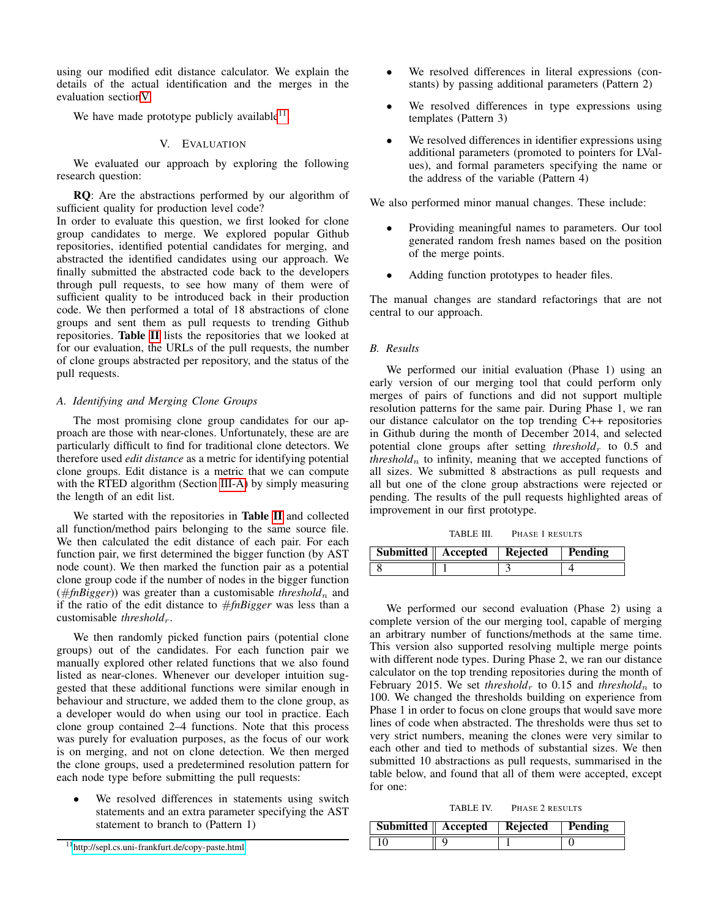using our modified edit distance calculator. We explain the details of the actual identification and the merges in the evaluation sectio[nV.](#page-7-0)

<span id="page-7-0"></span>We have made prototype publicly available $11$ .

#### V. EVALUATION

We evaluated our approach by exploring the following research question:

RQ: Are the abstractions performed by our algorithm of sufficient quality for production level code?

In order to evaluate this question, we first looked for clone group candidates to merge. We explored popular Github repositories, identified potential candidates for merging, and abstracted the identified candidates using our approach. We finally submitted the abstracted code back to the developers through pull requests, to see how many of them were of sufficient quality to be introduced back in their production code. We then performed a total of 18 abstractions of clone groups and sent them as pull requests to trending Github repositories. Table [II](#page-8-1) lists the repositories that we looked at for our evaluation, the URLs of the pull requests, the number of clone groups abstracted per repository, and the status of the pull requests.

#### *A. Identifying and Merging Clone Groups*

The most promising clone group candidates for our approach are those with near-clones. Unfortunately, these are are particularly difficult to find for traditional clone detectors. We therefore used *edit distance* as a metric for identifying potential clone groups. Edit distance is a metric that we can compute with the RTED algorithm (Section [III-A\)](#page-2-1) by simply measuring the length of an edit list.

We started with the repositories in Table [II](#page-8-1) and collected all function/method pairs belonging to the same source file. We then calculated the edit distance of each pair. For each function pair, we first determined the bigger function (by AST node count). We then marked the function pair as a potential clone group code if the number of nodes in the bigger function  $(\#fnBigger)$  was greater than a customisable *threshold*<sub>n</sub> and if the ratio of the edit distance to #*fnBigger* was less than a customisable *threshold*<sub>r</sub>.

We then randomly picked function pairs (potential clone groups) out of the candidates. For each function pair we manually explored other related functions that we also found listed as near-clones. Whenever our developer intuition suggested that these additional functions were similar enough in behaviour and structure, we added them to the clone group, as a developer would do when using our tool in practice. Each clone group contained 2–4 functions. Note that this process was purely for evaluation purposes, as the focus of our work is on merging, and not on clone detection. We then merged the clone groups, used a predetermined resolution pattern for each node type before submitting the pull requests:

We resolved differences in statements using switch statements and an extra parameter specifying the AST statement to branch to (Pattern 1)

- We resolved differences in literal expressions (constants) by passing additional parameters (Pattern 2)
- We resolved differences in type expressions using templates (Pattern 3)
- We resolved differences in identifier expressions using additional parameters (promoted to pointers for LValues), and formal parameters specifying the name or the address of the variable (Pattern 4)

We also performed minor manual changes. These include:

- Providing meaningful names to parameters. Our tool generated random fresh names based on the position of the merge points.
- Adding function prototypes to header files.

The manual changes are standard refactorings that are not central to our approach.

#### *B. Results*

We performed our initial evaluation (Phase 1) using an early version of our merging tool that could perform only merges of pairs of functions and did not support multiple resolution patterns for the same pair. During Phase 1, we ran our distance calculator on the top trending C++ repositories in Github during the month of December 2014, and selected potential clone groups after setting *threshold<sub>r</sub>* to 0.5 and *threshold<sub>n</sub>* to infinity, meaning that we accepted functions of all sizes. We submitted 8 abstractions as pull requests and all but one of the clone group abstractions were rejected or pending. The results of the pull requests highlighted areas of improvement in our first prototype.

TABLE III. PHASE 1 RESULTS

| Submitted   Accepted   Rejected   Pending |  |  |
|-------------------------------------------|--|--|
|                                           |  |  |

We performed our second evaluation (Phase 2) using a complete version of the our merging tool, capable of merging an arbitrary number of functions/methods at the same time. This version also supported resolving multiple merge points with different node types. During Phase 2, we ran our distance calculator on the top trending repositories during the month of February 2015. We set *threshold<sub>r</sub>* to 0.15 and *threshold<sub>n</sub>* to 100. We changed the thresholds building on experience from Phase 1 in order to focus on clone groups that would save more lines of code when abstracted. The thresholds were thus set to very strict numbers, meaning the clones were very similar to each other and tied to methods of substantial sizes. We then submitted 10 abstractions as pull requests, summarised in the table below, and found that all of them were accepted, except for one:

TABLE IV. PHASE 2 RESULTS

| <b>Submitted</b> Accepted Rejected Pending |  |  |
|--------------------------------------------|--|--|
|                                            |  |  |

<span id="page-7-1"></span><sup>11</sup><http://sepl.cs.uni-frankfurt.de/copy-paste.html>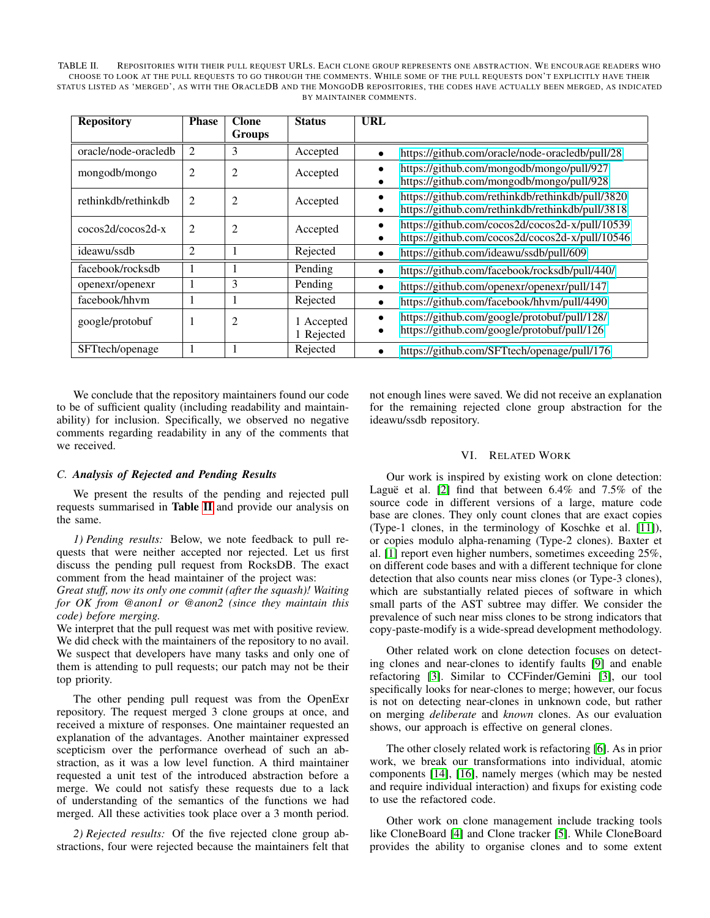<span id="page-8-1"></span>TABLE II. REPOSITORIES WITH THEIR PULL REQUEST URLS. EACH CLONE GROUP REPRESENTS ONE ABSTRACTION. WE ENCOURAGE READERS WHO CHOOSE TO LOOK AT THE PULL REQUESTS TO GO THROUGH THE COMMENTS. WHILE SOME OF THE PULL REQUESTS DON'T EXPLICITLY HAVE THEIR STATUS LISTED AS 'MERGED', AS WITH THE ORACLEDB AND THE MONGODB REPOSITORIES, THE CODES HAVE ACTUALLY BEEN MERGED, AS INDICATED BY MAINTAINER COMMENTS.

| <b>Repository</b>       | <b>Phase</b>   | Clone          | <b>Status</b>            | <b>URL</b>                                                                                                                     |
|-------------------------|----------------|----------------|--------------------------|--------------------------------------------------------------------------------------------------------------------------------|
|                         |                | Groups         |                          |                                                                                                                                |
| oracle/node-oracledb    | 2              | 3              | Accepted                 | https://github.com/oracle/node-oracledb/pull/28<br>$\bullet$                                                                   |
| mongodb/mongo           | $\overline{2}$ | $\overline{c}$ | Accepted                 | https://github.com/mongodb/mongo/pull/927<br>$\bullet$<br>https://github.com/mongodb/mongo/pull/928<br>$\bullet$               |
| rethinkdb/rethinkdb     | 2              | $\overline{c}$ | Accepted                 | https://github.com/rethinkdb/rethinkdb/pull/3820<br>$\bullet$<br>https://github.com/rethinkdb/rethinkdb/pull/3818<br>$\bullet$ |
| $\cos 2d / \cos 2d - x$ | 2              | 2              | Accepted                 | https://github.com/cocos2d/cocos2d-x/pull/10539<br>$\bullet$<br>https://github.com/cocos2d/cocos2d-x/pull/10546<br>$\bullet$   |
| ideawu/ssdb             | 2              | 1              | Rejected                 | https://github.com/ideawu/ssdb/pull/609<br>$\bullet$                                                                           |
| facebook/rocksdb        |                |                | Pending                  | https://github.com/facebook/rocksdb/pull/440/<br>$\bullet$                                                                     |
| openexr/openexr         |                | 3              | Pending                  | https://github.com/openexr/openexr/pull/147<br>$\bullet$                                                                       |
| facebook/hhvm           |                |                | Rejected                 | https://github.com/facebook/hhvm/pull/4490<br>$\bullet$                                                                        |
| google/protobuf         |                | $\overline{c}$ | 1 Accepted<br>1 Rejected | https://github.com/google/protobuf/pull/128/<br>$\bullet$<br>https://github.com/google/protobuf/pull/126                       |
| SFTtech/openage         |                |                | Rejected                 | https://github.com/SFTtech/openage/pull/176                                                                                    |

We conclude that the repository maintainers found our code to be of sufficient quality (including readability and maintainability) for inclusion. Specifically, we observed no negative comments regarding readability in any of the comments that we received.

# *C. Analysis of Rejected and Pending Results*

We present the results of the pending and rejected pull requests summarised in Table [II](#page-8-1) and provide our analysis on the same.

*1) Pending results:* Below, we note feedback to pull requests that were neither accepted nor rejected. Let us first discuss the pending pull request from RocksDB. The exact comment from the head maintainer of the project was:

*Great stuff, now its only one commit (after the squash)! Waiting for OK from @anon1 or @anon2 (since they maintain this code) before merging.*

We interpret that the pull request was met with positive review. We did check with the maintainers of the repository to no avail. We suspect that developers have many tasks and only one of them is attending to pull requests; our patch may not be their top priority.

The other pending pull request was from the OpenExr repository. The request merged 3 clone groups at once, and received a mixture of responses. One maintainer requested an explanation of the advantages. Another maintainer expressed scepticism over the performance overhead of such an abstraction, as it was a low level function. A third maintainer requested a unit test of the introduced abstraction before a merge. We could not satisfy these requests due to a lack of understanding of the semantics of the functions we had merged. All these activities took place over a 3 month period.

*2) Rejected results:* Of the five rejected clone group abstractions, four were rejected because the maintainers felt that not enough lines were saved. We did not receive an explanation for the remaining rejected clone group abstraction for the ideawu/ssdb repository.

### VI. RELATED WORK

<span id="page-8-0"></span>Our work is inspired by existing work on clone detection: Lague et al. [\[2\]](#page-9-0) find that between  $6.4\%$  and  $7.5\%$  of the source code in different versions of a large, mature code base are clones. They only count clones that are exact copies (Type-1 clones, in the terminology of Koschke et al. [\[11\]](#page-10-1)), or copies modulo alpha-renaming (Type-2 clones). Baxter et al. [\[1\]](#page-9-1) report even higher numbers, sometimes exceeding 25%, on different code bases and with a different technique for clone detection that also counts near miss clones (or Type-3 clones), which are substantially related pieces of software in which small parts of the AST subtree may differ. We consider the prevalence of such near miss clones to be strong indicators that copy-paste-modify is a wide-spread development methodology.

Other related work on clone detection focuses on detecting clones and near-clones to identify faults [\[9\]](#page-10-3) and enable refactoring [\[3\]](#page-9-4). Similar to CCFinder/Gemini [\[3\]](#page-9-4), our tool specifically looks for near-clones to merge; however, our focus is not on detecting near-clones in unknown code, but rather on merging *deliberate* and *known* clones. As our evaluation shows, our approach is effective on general clones.

The other closely related work is refactoring [\[6\]](#page-9-5). As in prior work, we break our transformations into individual, atomic components [\[14\]](#page-10-4), [\[16\]](#page-10-5), namely merges (which may be nested and require individual interaction) and fixups for existing code to use the refactored code.

Other work on clone management include tracking tools like CloneBoard [\[4\]](#page-9-6) and Clone tracker [\[5\]](#page-9-7). While CloneBoard provides the ability to organise clones and to some extent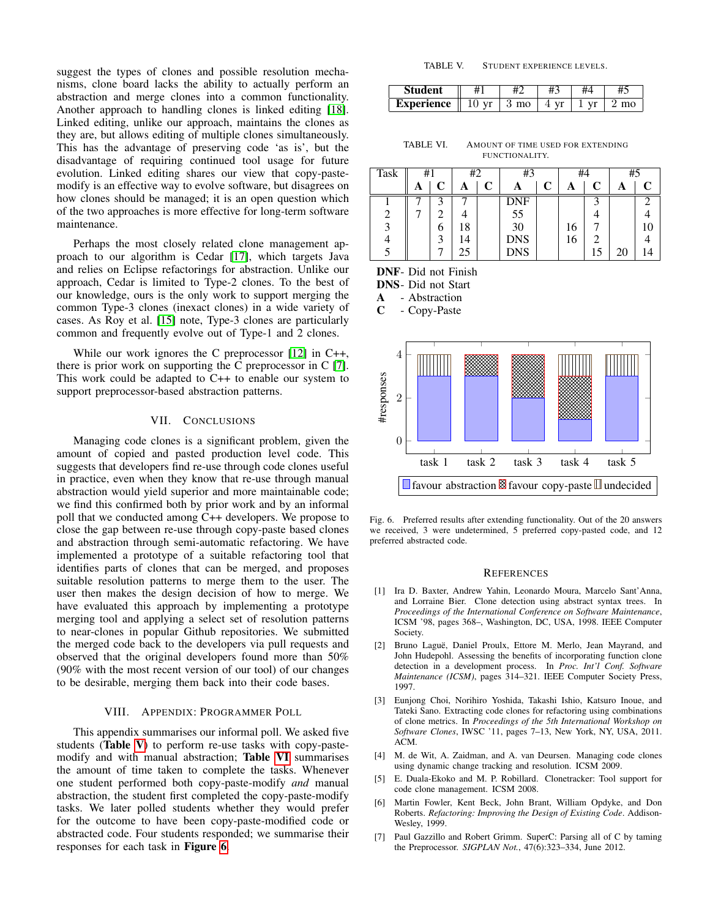suggest the types of clones and possible resolution mechanisms, clone board lacks the ability to actually perform an abstraction and merge clones into a common functionality. Another approach to handling clones is linked editing [\[18\]](#page-10-7). Linked editing, unlike our approach, maintains the clones as they are, but allows editing of multiple clones simultaneously. This has the advantage of preserving code 'as is', but the disadvantage of requiring continued tool usage for future evolution. Linked editing shares our view that copy-pastemodify is an effective way to evolve software, but disagrees on how clones should be managed; it is an open question which of the two approaches is more effective for long-term software maintenance.

Perhaps the most closely related clone management approach to our algorithm is Cedar [\[17\]](#page-10-8), which targets Java and relies on Eclipse refactorings for abstraction. Unlike our approach, Cedar is limited to Type-2 clones. To the best of our knowledge, ours is the only work to support merging the common Type-3 clones (inexact clones) in a wide variety of cases. As Roy et al. [\[15\]](#page-10-9) note, Type-3 clones are particularly common and frequently evolve out of Type-1 and 2 clones.

While our work ignores the C preprocessor [\[12\]](#page-10-10) in C++, there is prior work on supporting the C preprocessor in C [\[7\]](#page-9-8). This work could be adapted to C++ to enable our system to support preprocessor-based abstraction patterns.

#### VII. CONCLUSIONS

<span id="page-9-2"></span>Managing code clones is a significant problem, given the amount of copied and pasted production level code. This suggests that developers find re-use through code clones useful in practice, even when they know that re-use through manual abstraction would yield superior and more maintainable code; we find this confirmed both by prior work and by an informal poll that we conducted among C++ developers. We propose to close the gap between re-use through copy-paste based clones and abstraction through semi-automatic refactoring. We have implemented a prototype of a suitable refactoring tool that identifies parts of clones that can be merged, and proposes suitable resolution patterns to merge them to the user. The user then makes the design decision of how to merge. We have evaluated this approach by implementing a prototype merging tool and applying a select set of resolution patterns to near-clones in popular Github repositories. We submitted the merged code back to the developers via pull requests and observed that the original developers found more than 50% (90% with the most recent version of our tool) of our changes to be desirable, merging them back into their code bases.

#### VIII. APPENDIX: PROGRAMMER POLL

<span id="page-9-3"></span>This appendix summarises our informal poll. We asked five students (Table [V](#page-9-9)) to perform re-use tasks with copy-pastemodify and with manual abstraction; Table [VI](#page-9-10) summarises the amount of time taken to complete the tasks. Whenever one student performed both copy-paste-modify *and* manual abstraction, the student first completed the copy-paste-modify tasks. We later polled students whether they would prefer for the outcome to have been copy-paste-modified code or abstracted code. Four students responded; we summarise their responses for each task in Figure [6](#page-9-11).

<span id="page-9-9"></span>TABLE V. STUDENT EXPERIENCE LEVELS.

|          |                        | $\mathbf{u}$ | . .             |                           |  |  |
|----------|------------------------|--------------|-----------------|---------------------------|--|--|
| oerience | $\mathbf{H}$<br>-<br>∸ |              | ---<br><b>.</b> | ×,<br>$-7.44$<br><b>.</b> |  |  |

<span id="page-9-10"></span>TABLE VI. AMOUNT OF TIME USED FOR EXTENDING FUNCTIONALITY.

| <b>Task</b> | #1 |   | #2 | #3 |            |   | #4 |  | #5 |  |
|-------------|----|---|----|----|------------|---|----|--|----|--|
|             | А  |   | A  |    |            | C | А  |  |    |  |
|             |    |   |    |    | <b>DNF</b> |   |    |  |    |  |
| 2           |    |   |    |    | 55         |   |    |  |    |  |
| 3           |    | 6 | 18 |    | 30         |   | 16 |  |    |  |
|             |    | 3 | 4  |    | <b>DNS</b> |   | 16 |  |    |  |
|             |    |   | 25 |    | <b>DNS</b> |   |    |  |    |  |

DNF- Did not Finish

DNS- Did not Start

A - Abstraction

C - Copy-Paste



<span id="page-9-11"></span>Fig. 6. Preferred results after extending functionality. Out of the 20 answers we received, 3 were undetermined, 5 preferred copy-pasted code, and 12 preferred abstracted code.

#### **REFERENCES**

- <span id="page-9-1"></span>[1] Ira D. Baxter, Andrew Yahin, Leonardo Moura, Marcelo Sant'Anna, and Lorraine Bier. Clone detection using abstract syntax trees. In *Proceedings of the International Conference on Software Maintenance*, ICSM '98, pages 368–, Washington, DC, USA, 1998. IEEE Computer Society.
- <span id="page-9-0"></span>[2] Bruno Laguë, Daniel Proulx, Ettore M. Merlo, Jean Mayrand, and John Hudepohl. Assessing the benefits of incorporating function clone detection in a development process. In *Proc. Int'l Conf. Software Maintenance (ICSM)*, pages 314–321. IEEE Computer Society Press, 1997.
- <span id="page-9-4"></span>[3] Eunjong Choi, Norihiro Yoshida, Takashi Ishio, Katsuro Inoue, and Tateki Sano. Extracting code clones for refactoring using combinations of clone metrics. In *Proceedings of the 5th International Workshop on Software Clones*, IWSC '11, pages 7–13, New York, NY, USA, 2011. ACM.
- <span id="page-9-6"></span>[4] M. de Wit, A. Zaidman, and A. van Deursen. Managing code clones using dynamic change tracking and resolution. ICSM 2009.
- <span id="page-9-7"></span>[5] E. Duala-Ekoko and M. P. Robillard. Clonetracker: Tool support for code clone management. ICSM 2008.
- <span id="page-9-5"></span>[6] Martin Fowler, Kent Beck, John Brant, William Opdyke, and Don Roberts. *Refactoring: Improving the Design of Existing Code*. Addison-Wesley, 1999.
- <span id="page-9-8"></span>[7] Paul Gazzillo and Robert Grimm. SuperC: Parsing all of C by taming the Preprocessor. *SIGPLAN Not.*, 47(6):323–334, June 2012.